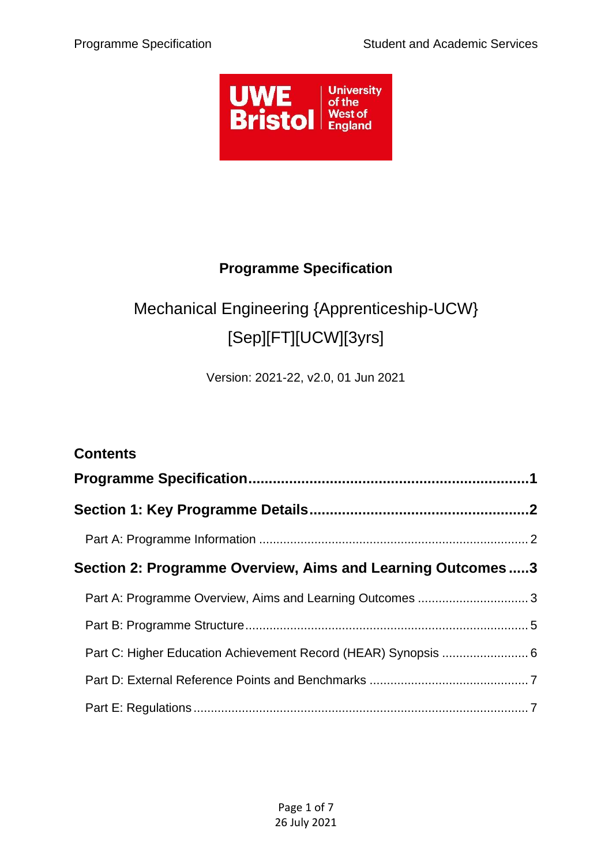

## **Programme Specification**

# <span id="page-0-0"></span>Mechanical Engineering {Apprenticeship-UCW} [Sep][FT][UCW][3yrs]

Version: 2021-22, v2.0, 01 Jun 2021

| <b>Contents</b>                                                |  |  |
|----------------------------------------------------------------|--|--|
|                                                                |  |  |
|                                                                |  |  |
|                                                                |  |  |
| Section 2: Programme Overview, Aims and Learning Outcomes3     |  |  |
| Part A: Programme Overview, Aims and Learning Outcomes  3      |  |  |
|                                                                |  |  |
| Part C: Higher Education Achievement Record (HEAR) Synopsis  6 |  |  |
|                                                                |  |  |
|                                                                |  |  |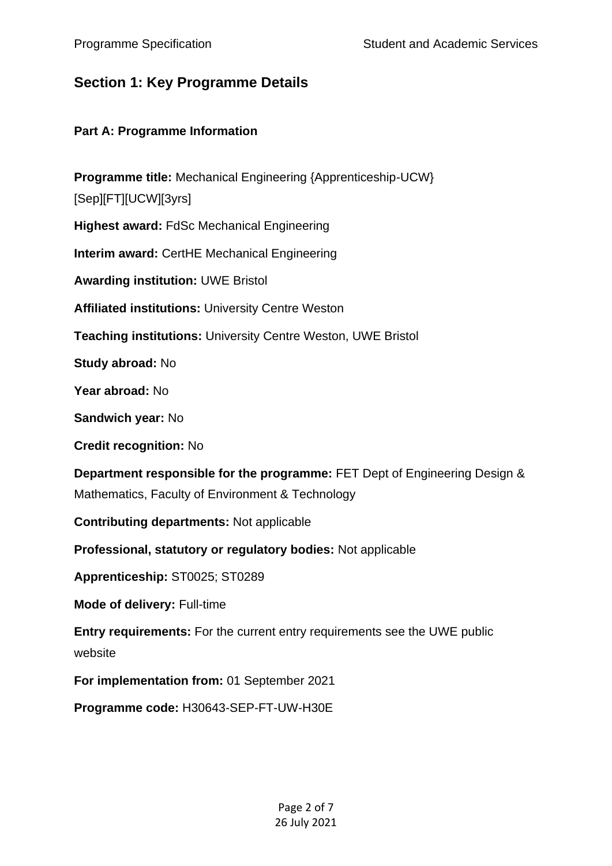## <span id="page-1-0"></span>**Section 1: Key Programme Details**

#### <span id="page-1-1"></span>**Part A: Programme Information**

**Programme title:** Mechanical Engineering {Apprenticeship-UCW} [Sep][FT][UCW][3yrs] **Highest award:** FdSc Mechanical Engineering **Interim award:** CertHE Mechanical Engineering **Awarding institution:** UWE Bristol **Affiliated institutions:** University Centre Weston **Teaching institutions:** University Centre Weston, UWE Bristol **Study abroad:** No **Year abroad:** No **Sandwich year:** No **Credit recognition:** No **Department responsible for the programme:** FET Dept of Engineering Design & Mathematics, Faculty of Environment & Technology **Contributing departments:** Not applicable **Professional, statutory or regulatory bodies:** Not applicable **Apprenticeship:** ST0025; ST0289 **Mode of delivery:** Full-time **Entry requirements:** For the current entry requirements see the UWE public website **For implementation from:** 01 September 2021 **Programme code:** H30643-SEP-FT-UW-H30E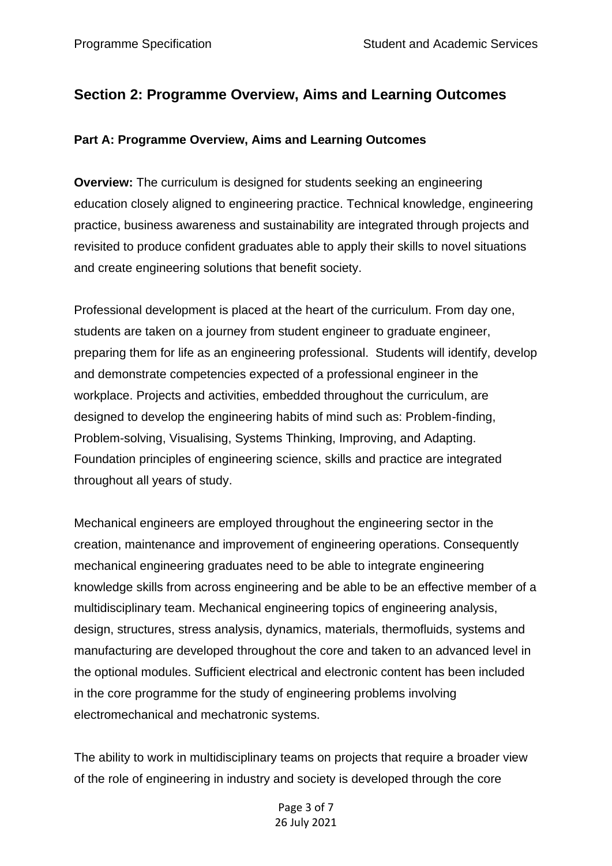## <span id="page-2-0"></span>**Section 2: Programme Overview, Aims and Learning Outcomes**

#### <span id="page-2-1"></span>**Part A: Programme Overview, Aims and Learning Outcomes**

**Overview:** The curriculum is designed for students seeking an engineering education closely aligned to engineering practice. Technical knowledge, engineering practice, business awareness and sustainability are integrated through projects and revisited to produce confident graduates able to apply their skills to novel situations and create engineering solutions that benefit society.

Professional development is placed at the heart of the curriculum. From day one, students are taken on a journey from student engineer to graduate engineer, preparing them for life as an engineering professional. Students will identify, develop and demonstrate competencies expected of a professional engineer in the workplace. Projects and activities, embedded throughout the curriculum, are designed to develop the engineering habits of mind such as: Problem-finding, Problem-solving, Visualising, Systems Thinking, Improving, and Adapting. Foundation principles of engineering science, skills and practice are integrated throughout all years of study.

Mechanical engineers are employed throughout the engineering sector in the creation, maintenance and improvement of engineering operations. Consequently mechanical engineering graduates need to be able to integrate engineering knowledge skills from across engineering and be able to be an effective member of a multidisciplinary team. Mechanical engineering topics of engineering analysis, design, structures, stress analysis, dynamics, materials, thermofluids, systems and manufacturing are developed throughout the core and taken to an advanced level in the optional modules. Sufficient electrical and electronic content has been included in the core programme for the study of engineering problems involving electromechanical and mechatronic systems.

The ability to work in multidisciplinary teams on projects that require a broader view of the role of engineering in industry and society is developed through the core

> Page 3 of 7 26 July 2021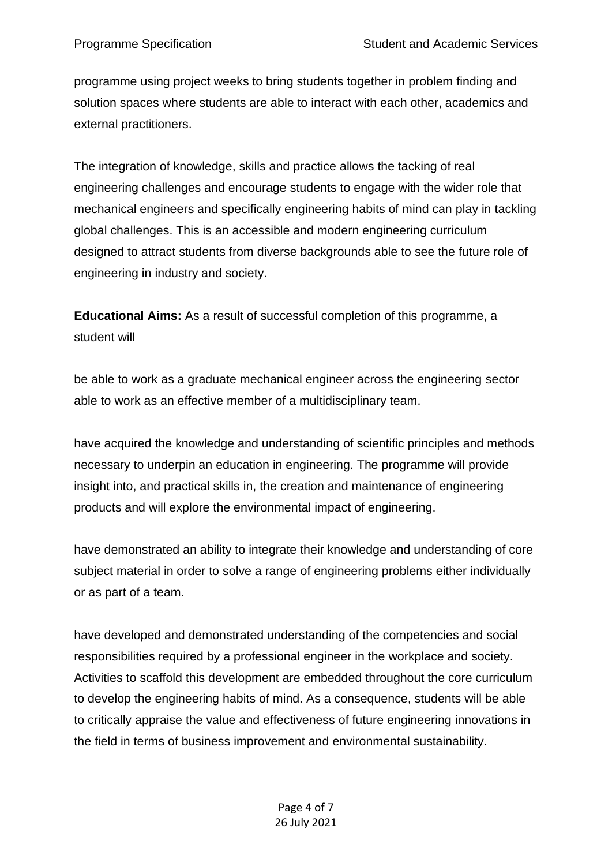programme using project weeks to bring students together in problem finding and solution spaces where students are able to interact with each other, academics and external practitioners.

The integration of knowledge, skills and practice allows the tacking of real engineering challenges and encourage students to engage with the wider role that mechanical engineers and specifically engineering habits of mind can play in tackling global challenges. This is an accessible and modern engineering curriculum designed to attract students from diverse backgrounds able to see the future role of engineering in industry and society.

**Educational Aims:** As a result of successful completion of this programme, a student will

be able to work as a graduate mechanical engineer across the engineering sector able to work as an effective member of a multidisciplinary team.

have acquired the knowledge and understanding of scientific principles and methods necessary to underpin an education in engineering. The programme will provide insight into, and practical skills in, the creation and maintenance of engineering products and will explore the environmental impact of engineering.

have demonstrated an ability to integrate their knowledge and understanding of core subject material in order to solve a range of engineering problems either individually or as part of a team.

have developed and demonstrated understanding of the competencies and social responsibilities required by a professional engineer in the workplace and society. Activities to scaffold this development are embedded throughout the core curriculum to develop the engineering habits of mind. As a consequence, students will be able to critically appraise the value and effectiveness of future engineering innovations in the field in terms of business improvement and environmental sustainability.

#### Page 4 of 7 26 July 2021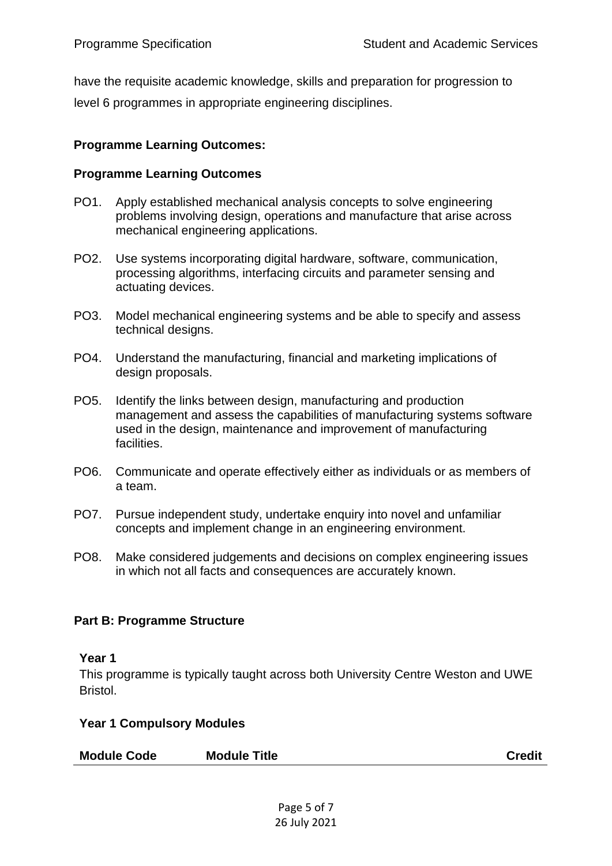have the requisite academic knowledge, skills and preparation for progression to level 6 programmes in appropriate engineering disciplines.

#### **Programme Learning Outcomes:**

#### **Programme Learning Outcomes**

- PO1. Apply established mechanical analysis concepts to solve engineering problems involving design, operations and manufacture that arise across mechanical engineering applications.
- PO2. Use systems incorporating digital hardware, software, communication, processing algorithms, interfacing circuits and parameter sensing and actuating devices.
- PO3. Model mechanical engineering systems and be able to specify and assess technical designs.
- PO4. Understand the manufacturing, financial and marketing implications of design proposals.
- PO5. Identify the links between design, manufacturing and production management and assess the capabilities of manufacturing systems software used in the design, maintenance and improvement of manufacturing facilities.
- PO6. Communicate and operate effectively either as individuals or as members of a team.
- PO7. Pursue independent study, undertake enquiry into novel and unfamiliar concepts and implement change in an engineering environment.
- PO8. Make considered judgements and decisions on complex engineering issues in which not all facts and consequences are accurately known.

#### <span id="page-4-0"></span>**Part B: Programme Structure**

#### **Year 1**

This programme is typically taught across both University Centre Weston and UWE Bristol.

#### **Year 1 Compulsory Modules**

| <b>Credit</b> |
|---------------|
|               |

Page 5 of 7 26 July 2021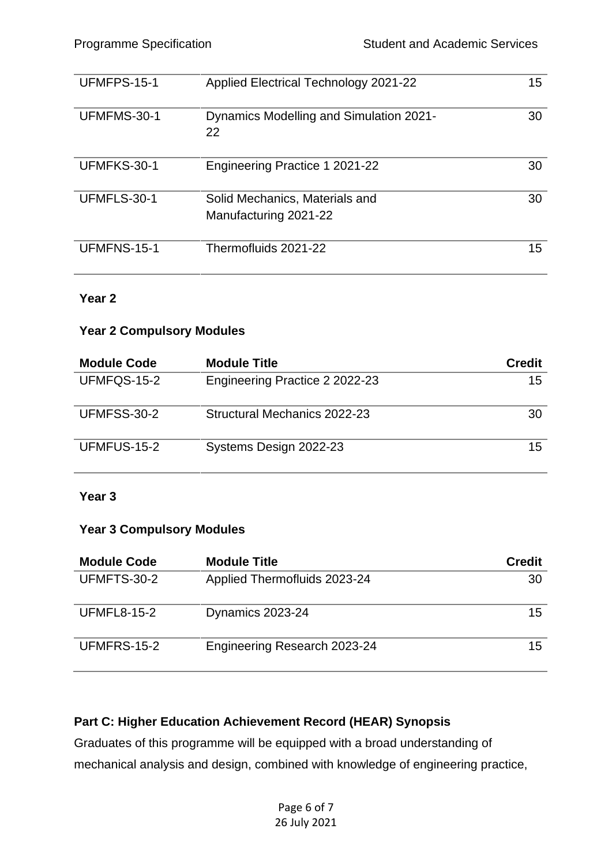| UFMFPS-15-1 | <b>Applied Electrical Technology 2021-22</b>            | 15 |
|-------------|---------------------------------------------------------|----|
| UFMFMS-30-1 | Dynamics Modelling and Simulation 2021-<br>22           | 30 |
| UFMFKS-30-1 | Engineering Practice 1 2021-22                          | 30 |
| UFMFLS-30-1 | Solid Mechanics, Materials and<br>Manufacturing 2021-22 | 30 |
| UFMFNS-15-1 | Thermofluids 2021-22                                    | 15 |

#### **Year 2**

#### **Year 2 Compulsory Modules**

| <b>Module Code</b> | <b>Module Title</b>            | <b>Credit</b> |
|--------------------|--------------------------------|---------------|
| UFMFQS-15-2        | Engineering Practice 2 2022-23 | 15            |
| UFMFSS-30-2        | Structural Mechanics 2022-23   | 30            |
| UFMFUS-15-2        | Systems Design 2022-23         | 15            |

#### **Year 3**

#### **Year 3 Compulsory Modules**

| <b>Module Code</b> | <b>Module Title</b>          | <b>Credit</b> |
|--------------------|------------------------------|---------------|
| UFMFTS-30-2        | Applied Thermofluids 2023-24 | 30            |
| <b>UFMFL8-15-2</b> | Dynamics 2023-24             | 15            |
| UFMFRS-15-2        | Engineering Research 2023-24 | 15            |

### <span id="page-5-0"></span>**Part C: Higher Education Achievement Record (HEAR) Synopsis**

Graduates of this programme will be equipped with a broad understanding of mechanical analysis and design, combined with knowledge of engineering practice,